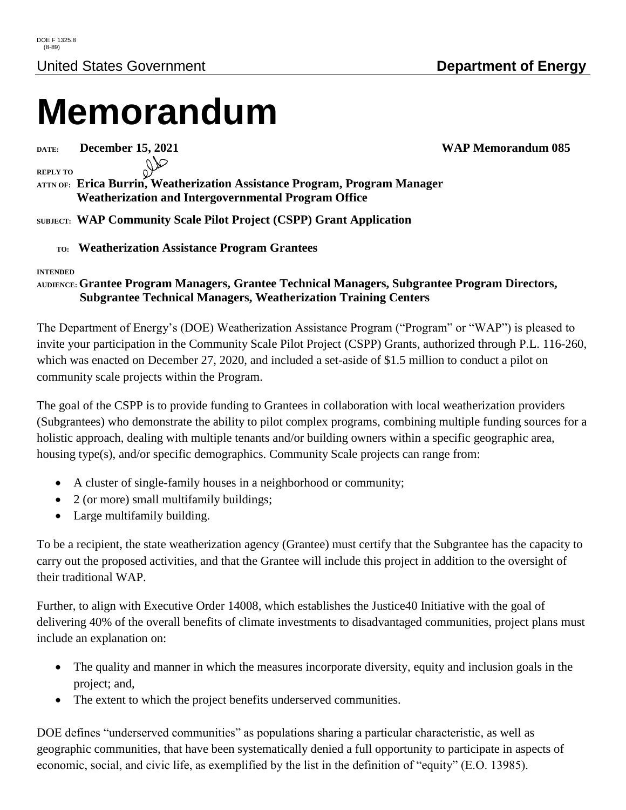# **Memorandum**

**DATE: December 15, 2021 WAP Memorandum 085**

**REPLY TO**

**ATTN OF: Erica Burrin, Weatherization Assistance Program, Program Manager Weatherization and Intergovernmental Program Office**

**SUBJECT: WAP Community Scale Pilot Project (CSPP) Grant Application**

 **TO: Weatherization Assistance Program Grantees**

#### **INTENDED**

#### **AUDIENCE:Grantee Program Managers, Grantee Technical Managers, Subgrantee Program Directors, Subgrantee Technical Managers, Weatherization Training Centers**

The Department of Energy's (DOE) Weatherization Assistance Program ("Program" or "WAP") is pleased to invite your participation in the Community Scale Pilot Project (CSPP) Grants, authorized through P.L. 116-260, which was enacted on December 27, 2020, and included a set-aside of \$1.5 million to conduct a pilot on community scale projects within the Program.

The goal of the CSPP is to provide funding to Grantees in collaboration with local weatherization providers (Subgrantees) who demonstrate the ability to pilot complex programs, combining multiple funding sources for a holistic approach, dealing with multiple tenants and/or building owners within a specific geographic area, housing type(s), and/or specific demographics. Community Scale projects can range from:

- A cluster of single-family houses in a neighborhood or community;
- 2 (or more) small multifamily buildings;
- Large multifamily building.

To be a recipient, the state weatherization agency (Grantee) must certify that the Subgrantee has the capacity to carry out the proposed activities, and that the Grantee will include this project in addition to the oversight of their traditional WAP.

Further, to align with Executive Order 14008, which establishes the Justice40 Initiative with the goal of delivering 40% of the overall benefits of climate investments to disadvantaged communities, project plans must include an explanation on:

- The quality and manner in which the measures incorporate diversity, equity and inclusion goals in the project; and,
- The extent to which the project benefits underserved communities.

DOE defines "underserved communities" as populations sharing a particular characteristic, as well as geographic communities, that have been systematically denied a full opportunity to participate in aspects of economic, social, and civic life, as exemplified by the list in the definition of "equity" (E.O. 13985).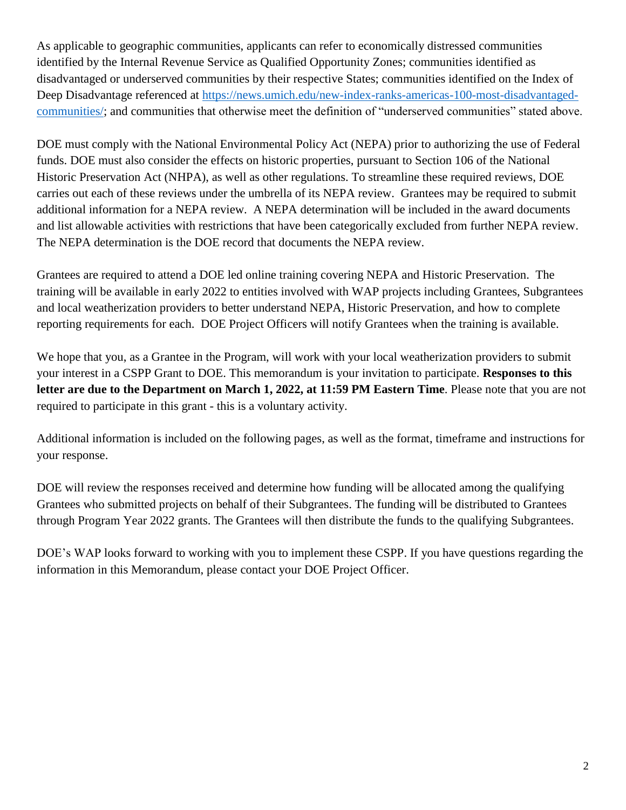As applicable to geographic communities, applicants can refer to economically distressed communities identified by the Internal Revenue Service as Qualified Opportunity Zones; communities identified as disadvantaged or underserved communities by their respective States; communities identified on the Index of Deep Disadvantage referenced at [https://news.umich.edu/new-index-ranks-americas-100-most-disadvantaged](https://news.umich.edu/new-index-ranks-americas-100-most-disadvantaged-communities/)[communities/;](https://news.umich.edu/new-index-ranks-americas-100-most-disadvantaged-communities/) and communities that otherwise meet the definition of "underserved communities" stated above.

DOE must comply with the National Environmental Policy Act (NEPA) prior to authorizing the use of Federal funds. DOE must also consider the effects on historic properties, pursuant to Section 106 of the National Historic Preservation Act (NHPA), as well as other regulations. To streamline these required reviews, DOE carries out each of these reviews under the umbrella of its NEPA review. Grantees may be required to submit additional information for a NEPA review. A NEPA determination will be included in the award documents and list allowable activities with restrictions that have been categorically excluded from further NEPA review. The NEPA determination is the DOE record that documents the NEPA review.

Grantees are required to attend a DOE led online training covering NEPA and Historic Preservation. The training will be available in early 2022 to entities involved with WAP projects including Grantees, Subgrantees and local weatherization providers to better understand NEPA, Historic Preservation, and how to complete reporting requirements for each. DOE Project Officers will notify Grantees when the training is available.

We hope that you, as a Grantee in the Program, will work with your local weatherization providers to submit your interest in a CSPP Grant to DOE. This memorandum is your invitation to participate. **Responses to this letter are due to the Department on March 1, 2022, at 11:59 PM Eastern Time**. Please note that you are not required to participate in this grant - this is a voluntary activity.

Additional information is included on the following pages, as well as the format, timeframe and instructions for your response.

DOE will review the responses received and determine how funding will be allocated among the qualifying Grantees who submitted projects on behalf of their Subgrantees. The funding will be distributed to Grantees through Program Year 2022 grants. The Grantees will then distribute the funds to the qualifying Subgrantees.

DOE's WAP looks forward to working with you to implement these CSPP. If you have questions regarding the information in this Memorandum, please contact your DOE Project Officer.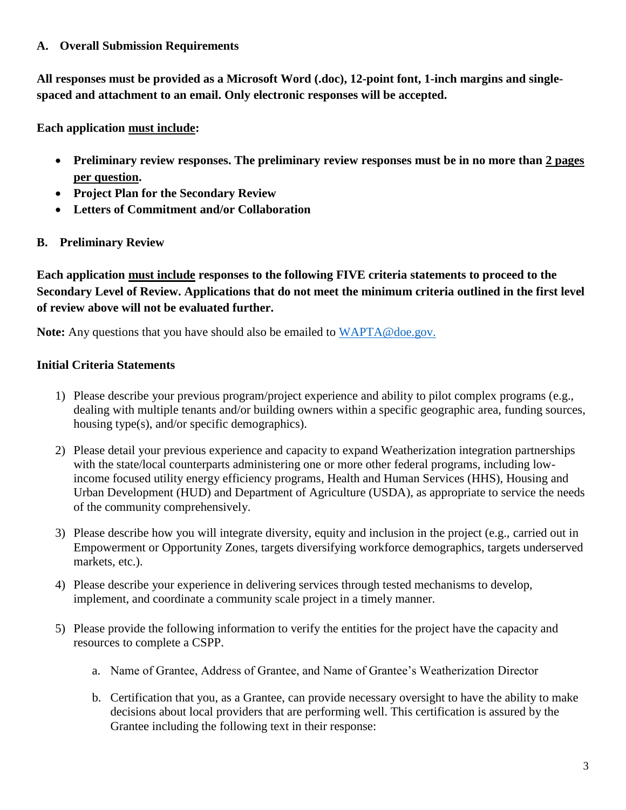#### **A. Overall Submission Requirements**

**All responses must be provided as a Microsoft Word (.doc), 12-point font, 1-inch margins and singlespaced and attachment to an email. Only electronic responses will be accepted.**

**Each application must include:**

- **Preliminary review responses. The preliminary review responses must be in no more than 2 pages per question.**
- **Project Plan for the Secondary Review**
- **Letters of Commitment and/or Collaboration**
- **B. Preliminary Review**

**Each application must include responses to the following FIVE criteria statements to proceed to the Secondary Level of Review. Applications that do not meet the minimum criteria outlined in the first level of review above will not be evaluated further.**

**Note:** Any questions that you have should also be emailed to [WAPTA@doe.gov.](mailto:WAPTA@doe.gov)

#### **Initial Criteria Statements**

- 1) Please describe your previous program/project experience and ability to pilot complex programs (e.g., dealing with multiple tenants and/or building owners within a specific geographic area, funding sources, housing type(s), and/or specific demographics).
- 2) Please detail your previous experience and capacity to expand Weatherization integration partnerships with the state/local counterparts administering one or more other federal programs, including lowincome focused utility energy efficiency programs, Health and Human Services (HHS), Housing and Urban Development (HUD) and Department of Agriculture (USDA), as appropriate to service the needs of the community comprehensively.
- 3) Please describe how you will integrate diversity, equity and inclusion in the project (e.g., carried out in Empowerment or Opportunity Zones, targets diversifying workforce demographics, targets underserved markets, etc.).
- 4) Please describe your experience in delivering services through tested mechanisms to develop, implement, and coordinate a community scale project in a timely manner.
- 5) Please provide the following information to verify the entities for the project have the capacity and resources to complete a CSPP.
	- a. Name of Grantee, Address of Grantee, and Name of Grantee's Weatherization Director
	- b. Certification that you, as a Grantee, can provide necessary oversight to have the ability to make decisions about local providers that are performing well. This certification is assured by the Grantee including the following text in their response: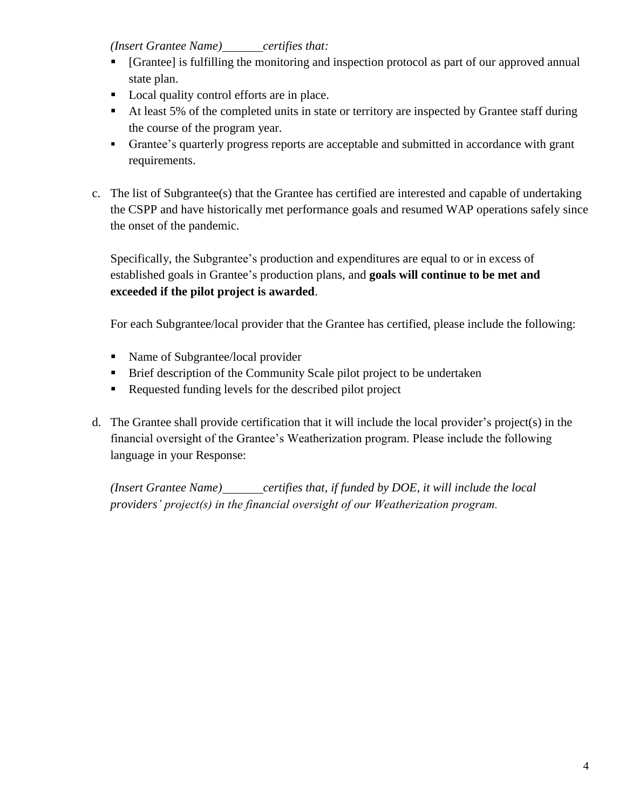#### *(Insert Grantee Name) certifies that:*

- [Grantee] is fulfilling the monitoring and inspection protocol as part of our approved annual state plan.
- Local quality control efforts are in place.
- At least 5% of the completed units in state or territory are inspected by Grantee staff during the course of the program year.
- Grantee's quarterly progress reports are acceptable and submitted in accordance with grant requirements.
- c. The list of Subgrantee(s) that the Grantee has certified are interested and capable of undertaking the CSPP and have historically met performance goals and resumed WAP operations safely since the onset of the pandemic.

Specifically, the Subgrantee's production and expenditures are equal to or in excess of established goals in Grantee's production plans, and **goals will continue to be met and exceeded if the pilot project is awarded**.

For each Subgrantee/local provider that the Grantee has certified, please include the following:

- Name of Subgrantee/local provider
- **Brief description of the Community Scale pilot project to be undertaken**
- Requested funding levels for the described pilot project
- d. The Grantee shall provide certification that it will include the local provider's project(s) in the financial oversight of the Grantee's Weatherization program. Please include the following language in your Response:

*(Insert Grantee Name) certifies that, if funded by DOE, it will include the local providers' project(s) in the financial oversight of our Weatherization program.*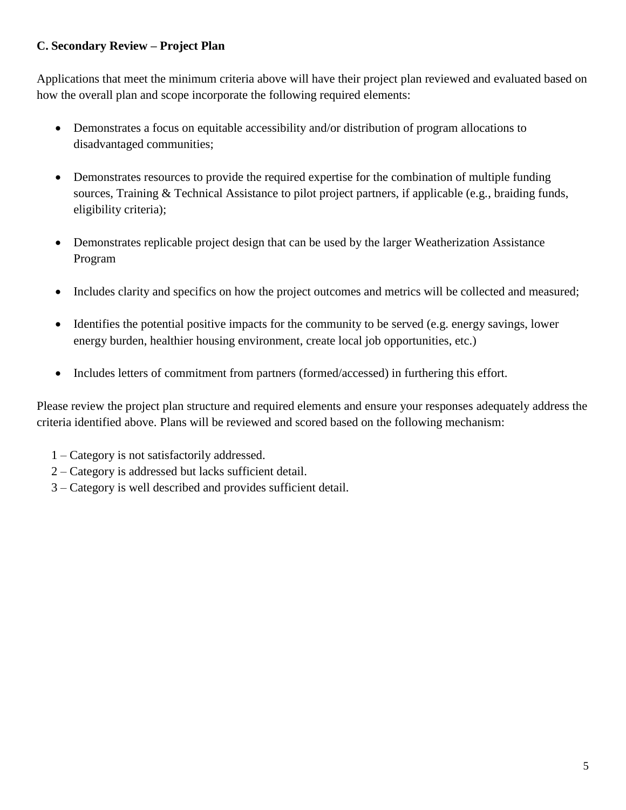### **C. Secondary Review – Project Plan**

Applications that meet the minimum criteria above will have their project plan reviewed and evaluated based on how the overall plan and scope incorporate the following required elements:

- Demonstrates a focus on equitable accessibility and/or distribution of program allocations to disadvantaged communities;
- Demonstrates resources to provide the required expertise for the combination of multiple funding sources, Training & Technical Assistance to pilot project partners, if applicable (e.g., braiding funds, eligibility criteria);
- Demonstrates replicable project design that can be used by the larger Weatherization Assistance Program
- Includes clarity and specifics on how the project outcomes and metrics will be collected and measured;
- $\bullet$  Identifies the potential positive impacts for the community to be served (e.g. energy savings, lower energy burden, healthier housing environment, create local job opportunities, etc.)
- Includes letters of commitment from partners (formed/accessed) in furthering this effort.

Please review the project plan structure and required elements and ensure your responses adequately address the criteria identified above. Plans will be reviewed and scored based on the following mechanism:

- 1 Category is not satisfactorily addressed.
- 2 Category is addressed but lacks sufficient detail.
- 3 Category is well described and provides sufficient detail.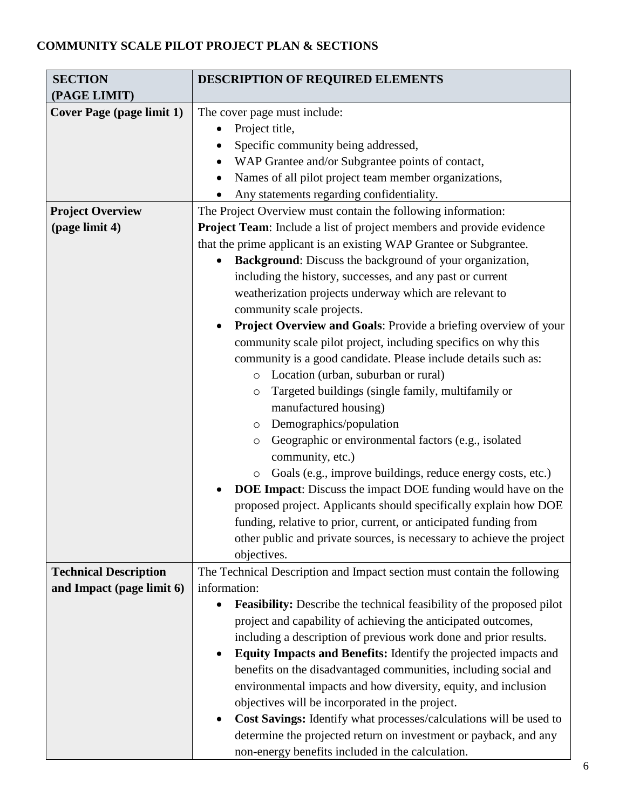## **COMMUNITY SCALE PILOT PROJECT PLAN & SECTIONS**

| <b>SECTION</b>                   | DESCRIPTION OF REQUIRED ELEMENTS                                             |
|----------------------------------|------------------------------------------------------------------------------|
| (PAGE LIMIT)                     |                                                                              |
| <b>Cover Page (page limit 1)</b> | The cover page must include:                                                 |
|                                  | Project title,                                                               |
|                                  | Specific community being addressed,                                          |
|                                  | WAP Grantee and/or Subgrantee points of contact,                             |
|                                  | Names of all pilot project team member organizations,                        |
|                                  | Any statements regarding confidentiality.                                    |
| <b>Project Overview</b>          | The Project Overview must contain the following information:                 |
| (page limit 4)                   | Project Team: Include a list of project members and provide evidence         |
|                                  | that the prime applicant is an existing WAP Grantee or Subgrantee.           |
|                                  | <b>Background:</b> Discuss the background of your organization,              |
|                                  | including the history, successes, and any past or current                    |
|                                  | weatherization projects underway which are relevant to                       |
|                                  | community scale projects.                                                    |
|                                  | Project Overview and Goals: Provide a briefing overview of your              |
|                                  | community scale pilot project, including specifics on why this               |
|                                  | community is a good candidate. Please include details such as:               |
|                                  | Location (urban, suburban or rural)<br>$\circ$                               |
|                                  | Targeted buildings (single family, multifamily or<br>$\circ$                 |
|                                  | manufactured housing)                                                        |
|                                  | Demographics/population<br>$\circ$                                           |
|                                  | Geographic or environmental factors (e.g., isolated<br>$\circ$               |
|                                  | community, etc.)                                                             |
|                                  | Goals (e.g., improve buildings, reduce energy costs, etc.)<br>$\circ$        |
|                                  | <b>DOE Impact:</b> Discuss the impact DOE funding would have on the          |
|                                  | proposed project. Applicants should specifically explain how DOE             |
|                                  | funding, relative to prior, current, or anticipated funding from             |
|                                  | other public and private sources, is necessary to achieve the project        |
|                                  | objectives.                                                                  |
| <b>Technical Description</b>     | The Technical Description and Impact section must contain the following      |
| and Impact (page limit 6)        | information:                                                                 |
|                                  | <b>Feasibility:</b> Describe the technical feasibility of the proposed pilot |
|                                  | project and capability of achieving the anticipated outcomes,                |
|                                  | including a description of previous work done and prior results.             |
|                                  | Equity Impacts and Benefits: Identify the projected impacts and<br>$\bullet$ |
|                                  | benefits on the disadvantaged communities, including social and              |
|                                  | environmental impacts and how diversity, equity, and inclusion               |
|                                  | objectives will be incorporated in the project.                              |
|                                  | Cost Savings: Identify what processes/calculations will be used to           |
|                                  | determine the projected return on investment or payback, and any             |
|                                  | non-energy benefits included in the calculation.                             |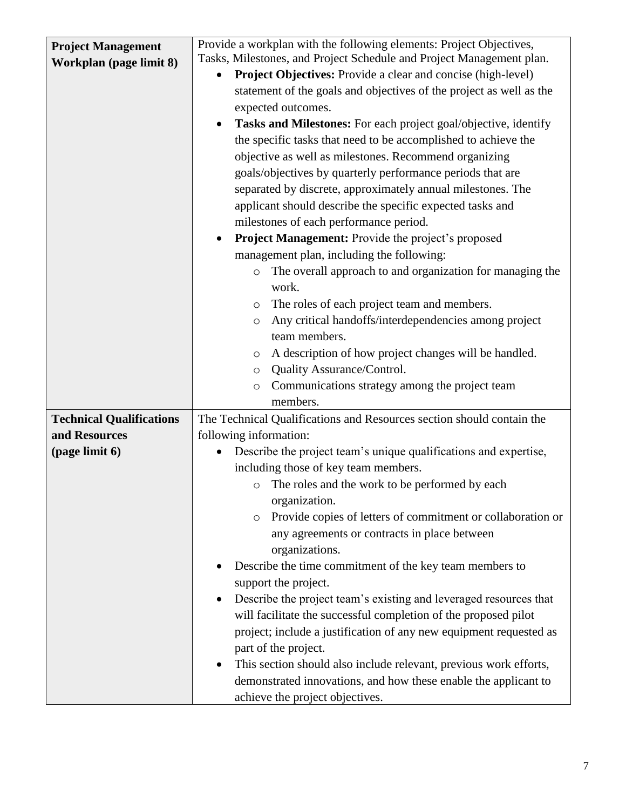| <b>Project Management</b>       | Provide a workplan with the following elements: Project Objectives,            |
|---------------------------------|--------------------------------------------------------------------------------|
| Workplan (page limit 8)         | Tasks, Milestones, and Project Schedule and Project Management plan.           |
|                                 | <b>Project Objectives:</b> Provide a clear and concise (high-level)            |
|                                 | statement of the goals and objectives of the project as well as the            |
|                                 | expected outcomes.                                                             |
|                                 | Tasks and Milestones: For each project goal/objective, identify                |
|                                 | the specific tasks that need to be accomplished to achieve the                 |
|                                 | objective as well as milestones. Recommend organizing                          |
|                                 | goals/objectives by quarterly performance periods that are                     |
|                                 | separated by discrete, approximately annual milestones. The                    |
|                                 | applicant should describe the specific expected tasks and                      |
|                                 | milestones of each performance period.                                         |
|                                 | Project Management: Provide the project's proposed                             |
|                                 | management plan, including the following:                                      |
|                                 | The overall approach to and organization for managing the<br>$\circ$           |
|                                 | work.                                                                          |
|                                 | The roles of each project team and members.<br>$\circ$                         |
|                                 | Any critical handoffs/interdependencies among project<br>$\circ$               |
|                                 | team members.                                                                  |
|                                 | A description of how project changes will be handled.<br>$\circ$               |
|                                 | Quality Assurance/Control.<br>$\circ$                                          |
|                                 | Communications strategy among the project team<br>$\circ$                      |
|                                 | members.                                                                       |
| <b>Technical Qualifications</b> | The Technical Qualifications and Resources section should contain the          |
| and Resources                   | following information:                                                         |
| (page limit 6)                  | Describe the project team's unique qualifications and expertise,               |
|                                 | including those of key team members.                                           |
|                                 | The roles and the work to be performed by each<br>$\circ$                      |
|                                 | organization.                                                                  |
|                                 | Provide copies of letters of commitment or collaboration or<br>$\circ$         |
|                                 | any agreements or contracts in place between<br>organizations.                 |
|                                 | Describe the time commitment of the key team members to                        |
|                                 | support the project.                                                           |
|                                 | Describe the project team's existing and leveraged resources that              |
|                                 | will facilitate the successful completion of the proposed pilot                |
|                                 | project; include a justification of any new equipment requested as             |
|                                 | part of the project.                                                           |
|                                 | This section should also include relevant, previous work efforts,<br>$\bullet$ |
|                                 | demonstrated innovations, and how these enable the applicant to                |
|                                 | achieve the project objectives.                                                |